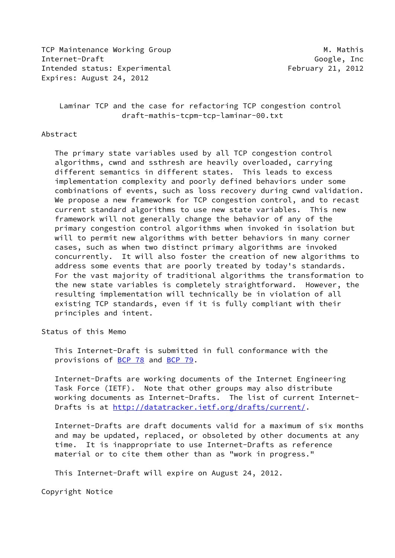TCP Maintenance Working Group Merry Manuscript M. Mathis Internet-Draft Google, Inc Intended status: Experimental February 21, 2012 Expires: August 24, 2012

 Laminar TCP and the case for refactoring TCP congestion control draft-mathis-tcpm-tcp-laminar-00.txt

#### Abstract

 The primary state variables used by all TCP congestion control algorithms, cwnd and ssthresh are heavily overloaded, carrying different semantics in different states. This leads to excess implementation complexity and poorly defined behaviors under some combinations of events, such as loss recovery during cwnd validation. We propose a new framework for TCP congestion control, and to recast current standard algorithms to use new state variables. This new framework will not generally change the behavior of any of the primary congestion control algorithms when invoked in isolation but will to permit new algorithms with better behaviors in many corner cases, such as when two distinct primary algorithms are invoked concurrently. It will also foster the creation of new algorithms to address some events that are poorly treated by today's standards. For the vast majority of traditional algorithms the transformation to the new state variables is completely straightforward. However, the resulting implementation will technically be in violation of all existing TCP standards, even if it is fully compliant with their principles and intent.

Status of this Memo

 This Internet-Draft is submitted in full conformance with the provisions of [BCP 78](https://datatracker.ietf.org/doc/pdf/bcp78) and [BCP 79](https://datatracker.ietf.org/doc/pdf/bcp79).

 Internet-Drafts are working documents of the Internet Engineering Task Force (IETF). Note that other groups may also distribute working documents as Internet-Drafts. The list of current Internet- Drafts is at<http://datatracker.ietf.org/drafts/current/>.

 Internet-Drafts are draft documents valid for a maximum of six months and may be updated, replaced, or obsoleted by other documents at any time. It is inappropriate to use Internet-Drafts as reference material or to cite them other than as "work in progress."

This Internet-Draft will expire on August 24, 2012.

Copyright Notice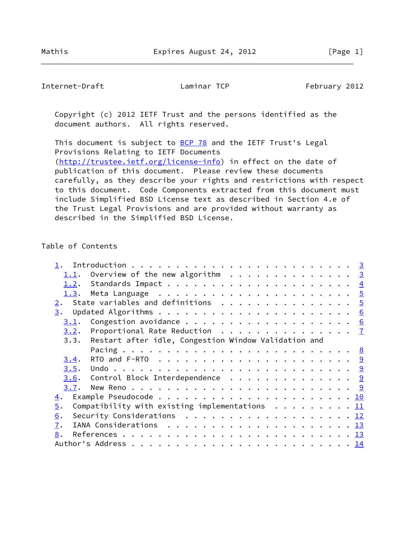Internet-Draft Laminar TCP February 2012

 Copyright (c) 2012 IETF Trust and the persons identified as the document authors. All rights reserved.

This document is subject to **[BCP 78](https://datatracker.ietf.org/doc/pdf/bcp78)** and the IETF Trust's Legal Provisions Relating to IETF Documents [\(http://trustee.ietf.org/license-info](http://trustee.ietf.org/license-info)) in effect on the date of publication of this document. Please review these documents carefully, as they describe your rights and restrictions with respect to this document. Code Components extracted from this document must include Simplified BSD License text as described in Section 4.e of the Trust Legal Provisions and are provided without warranty as described in the Simplified BSD License.

## Table of Contents

| Overview of the new algorithm $\ldots \ldots \ldots \ldots \ldots$ |                                                      |                                                                                                                                                                                                                                                                                                                                                                         |
|--------------------------------------------------------------------|------------------------------------------------------|-------------------------------------------------------------------------------------------------------------------------------------------------------------------------------------------------------------------------------------------------------------------------------------------------------------------------------------------------------------------------|
|                                                                    |                                                      |                                                                                                                                                                                                                                                                                                                                                                         |
|                                                                    |                                                      |                                                                                                                                                                                                                                                                                                                                                                         |
|                                                                    |                                                      |                                                                                                                                                                                                                                                                                                                                                                         |
|                                                                    |                                                      |                                                                                                                                                                                                                                                                                                                                                                         |
|                                                                    |                                                      |                                                                                                                                                                                                                                                                                                                                                                         |
|                                                                    |                                                      |                                                                                                                                                                                                                                                                                                                                                                         |
|                                                                    |                                                      |                                                                                                                                                                                                                                                                                                                                                                         |
|                                                                    |                                                      |                                                                                                                                                                                                                                                                                                                                                                         |
|                                                                    |                                                      |                                                                                                                                                                                                                                                                                                                                                                         |
|                                                                    |                                                      |                                                                                                                                                                                                                                                                                                                                                                         |
|                                                                    |                                                      |                                                                                                                                                                                                                                                                                                                                                                         |
|                                                                    |                                                      |                                                                                                                                                                                                                                                                                                                                                                         |
|                                                                    |                                                      |                                                                                                                                                                                                                                                                                                                                                                         |
|                                                                    |                                                      |                                                                                                                                                                                                                                                                                                                                                                         |
|                                                                    |                                                      |                                                                                                                                                                                                                                                                                                                                                                         |
|                                                                    |                                                      |                                                                                                                                                                                                                                                                                                                                                                         |
|                                                                    |                                                      |                                                                                                                                                                                                                                                                                                                                                                         |
|                                                                    |                                                      |                                                                                                                                                                                                                                                                                                                                                                         |
|                                                                    |                                                      |                                                                                                                                                                                                                                                                                                                                                                         |
|                                                                    | Restart after idle, Congestion Window Validation and | State variables and definitions $\ldots \ldots \ldots \ldots \ldots$<br>Proportional Rate Reduction $\ldots \ldots \ldots \ldots \ldots$<br><u>3.6</u> . Control Block Interdependence 9<br>Compatibility with existing implementations $\ldots \ldots \ldots \frac{11}{11}$<br>Security Considerations $\ldots \ldots \ldots \ldots \ldots \ldots \ldots \frac{12}{2}$ |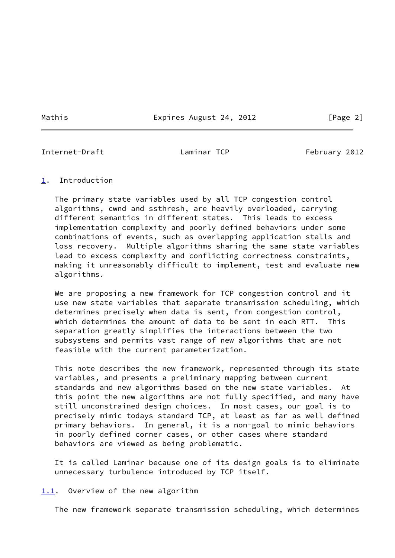Mathis **Expires August 24, 2012** [Page 2]

<span id="page-2-1"></span>Internet-Draft Laminar TCP February 2012

#### <span id="page-2-0"></span>[1](#page-2-0). Introduction

 The primary state variables used by all TCP congestion control algorithms, cwnd and ssthresh, are heavily overloaded, carrying different semantics in different states. This leads to excess implementation complexity and poorly defined behaviors under some combinations of events, such as overlapping application stalls and loss recovery. Multiple algorithms sharing the same state variables lead to excess complexity and conflicting correctness constraints, making it unreasonably difficult to implement, test and evaluate new algorithms.

 We are proposing a new framework for TCP congestion control and it use new state variables that separate transmission scheduling, which determines precisely when data is sent, from congestion control, which determines the amount of data to be sent in each RTT. This separation greatly simplifies the interactions between the two subsystems and permits vast range of new algorithms that are not feasible with the current parameterization.

 This note describes the new framework, represented through its state variables, and presents a preliminary mapping between current standards and new algorithms based on the new state variables. At this point the new algorithms are not fully specified, and many have still unconstrained design choices. In most cases, our goal is to precisely mimic todays standard TCP, at least as far as well defined primary behaviors. In general, it is a non-goal to mimic behaviors in poorly defined corner cases, or other cases where standard behaviors are viewed as being problematic.

 It is called Laminar because one of its design goals is to eliminate unnecessary turbulence introduced by TCP itself.

<span id="page-2-2"></span>[1.1](#page-2-2). Overview of the new algorithm

The new framework separate transmission scheduling, which determines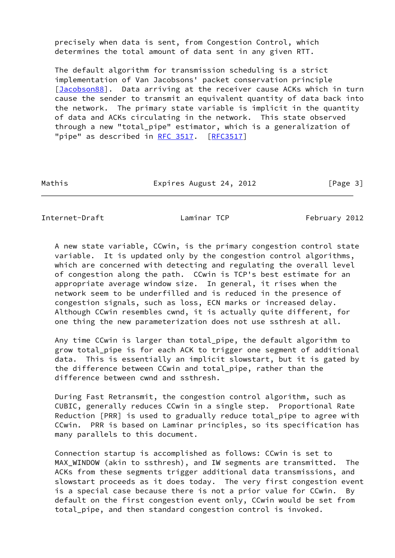precisely when data is sent, from Congestion Control, which determines the total amount of data sent in any given RTT.

 The default algorithm for transmission scheduling is a strict implementation of Van Jacobsons' packet conservation principle [\[Jacobson88\]](#page-14-2). Data arriving at the receiver cause ACKs which in turn cause the sender to transmit an equivalent quantity of data back into the network. The primary state variable is implicit in the quantity of data and ACKs circulating in the network. This state observed through a new "total\_pipe" estimator, which is a generalization of "pipe" as described in [RFC 3517.](https://datatracker.ietf.org/doc/pdf/rfc3517) [[RFC3517](https://datatracker.ietf.org/doc/pdf/rfc3517)]

Mathis **Expires August 24, 2012** [Page 3]

<span id="page-3-0"></span>Internet-Draft **Laminar TCP** February 2012

 A new state variable, CCwin, is the primary congestion control state variable. It is updated only by the congestion control algorithms, which are concerned with detecting and regulating the overall level of congestion along the path. CCwin is TCP's best estimate for an appropriate average window size. In general, it rises when the network seem to be underfilled and is reduced in the presence of congestion signals, such as loss, ECN marks or increased delay. Although CCwin resembles cwnd, it is actually quite different, for one thing the new parameterization does not use ssthresh at all.

 Any time CCwin is larger than total\_pipe, the default algorithm to grow total\_pipe is for each ACK to trigger one segment of additional data. This is essentially an implicit slowstart, but it is gated by the difference between CCwin and total\_pipe, rather than the difference between cwnd and ssthresh.

 During Fast Retransmit, the congestion control algorithm, such as CUBIC, generally reduces CCwin in a single step. Proportional Rate Reduction [PRR] is used to gradually reduce total\_pipe to agree with CCwin. PRR is based on Laminar principles, so its specification has many parallels to this document.

 Connection startup is accomplished as follows: CCwin is set to MAX WINDOW (akin to ssthresh), and IW segments are transmitted. The ACKs from these segments trigger additional data transmissions, and slowstart proceeds as it does today. The very first congestion event is a special case because there is not a prior value for CCwin. By default on the first congestion event only, CCwin would be set from total\_pipe, and then standard congestion control is invoked.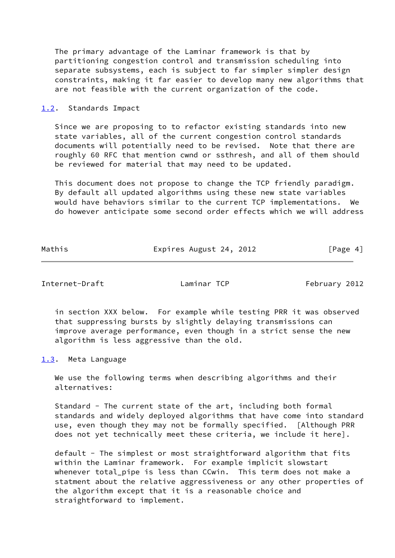The primary advantage of the Laminar framework is that by partitioning congestion control and transmission scheduling into separate subsystems, each is subject to far simpler simpler design constraints, making it far easier to develop many new algorithms that are not feasible with the current organization of the code.

<span id="page-4-0"></span>[1.2](#page-4-0). Standards Impact

 Since we are proposing to to refactor existing standards into new state variables, all of the current congestion control standards documents will potentially need to be revised. Note that there are roughly 60 RFC that mention cwnd or ssthresh, and all of them should be reviewed for material that may need to be updated.

 This document does not propose to change the TCP friendly paradigm. By default all updated algorithms using these new state variables would have behaviors similar to the current TCP implementations. We do however anticipate some second order effects which we will address

Mathis **Expires August 24, 2012** [Page 4]

<span id="page-4-2"></span>Internet-Draft **Laminar TCP** February 2012

 in section XXX below. For example while testing PRR it was observed that suppressing bursts by slightly delaying transmissions can improve average performance, even though in a strict sense the new algorithm is less aggressive than the old.

<span id="page-4-1"></span>[1.3](#page-4-1). Meta Language

We use the following terms when describing algorithms and their alternatives:

 Standard - The current state of the art, including both formal standards and widely deployed algorithms that have come into standard use, even though they may not be formally specified. [Although PRR does not yet technically meet these criteria, we include it here].

default - The simplest or most straightforward algorithm that fits within the Laminar framework. For example implicit slowstart whenever total\_pipe is less than CCwin. This term does not make a statment about the relative aggressiveness or any other properties of the algorithm except that it is a reasonable choice and straightforward to implement.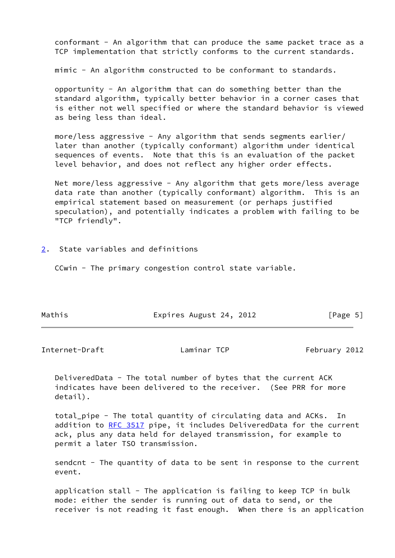conformant - An algorithm that can produce the same packet trace as a TCP implementation that strictly conforms to the current standards.

mimic - An algorithm constructed to be conformant to standards.

 opportunity - An algorithm that can do something better than the standard algorithm, typically better behavior in a corner cases that is either not well specified or where the standard behavior is viewed as being less than ideal.

 more/less aggressive - Any algorithm that sends segments earlier/ later than another (typically conformant) algorithm under identical sequences of events. Note that this is an evaluation of the packet level behavior, and does not reflect any higher order effects.

 Net more/less aggressive - Any algorithm that gets more/less average data rate than another (typically conformant) algorithm. This is an empirical statement based on measurement (or perhaps justified speculation), and potentially indicates a problem with failing to be "TCP friendly".

<span id="page-5-0"></span>[2](#page-5-0). State variables and definitions

CCwin - The primary congestion control state variable.

| Mathis | Expires August 24, 2012 | [Page 5] |
|--------|-------------------------|----------|
|--------|-------------------------|----------|

<span id="page-5-1"></span>Internet-Draft Laminar TCP February 2012

 DeliveredData - The total number of bytes that the current ACK indicates have been delivered to the receiver. (See PRR for more detail).

 total\_pipe - The total quantity of circulating data and ACKs. In addition to [RFC 3517](https://datatracker.ietf.org/doc/pdf/rfc3517) pipe, it includes DeliveredData for the current ack, plus any data held for delayed transmission, for example to permit a later TSO transmission.

sendcnt - The quantity of data to be sent in response to the current event.

 application stall - The application is failing to keep TCP in bulk mode: either the sender is running out of data to send, or the receiver is not reading it fast enough. When there is an application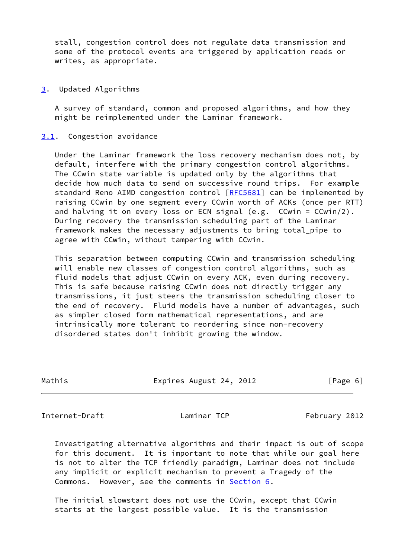stall, congestion control does not regulate data transmission and some of the protocol events are triggered by application reads or writes, as appropriate.

<span id="page-6-0"></span>[3](#page-6-0). Updated Algorithms

 A survey of standard, common and proposed algorithms, and how they might be reimplemented under the Laminar framework.

<span id="page-6-1"></span>[3.1](#page-6-1). Congestion avoidance

 Under the Laminar framework the loss recovery mechanism does not, by default, interfere with the primary congestion control algorithms. The CCwin state variable is updated only by the algorithms that decide how much data to send on successive round trips. For example standard Reno AIMD congestion control [[RFC5681](https://datatracker.ietf.org/doc/pdf/rfc5681)] can be implemented by raising CCwin by one segment every CCwin worth of ACKs (once per RTT) and halving it on every loss or ECN signal (e.g. CCwin = CCwin/2). During recovery the transmission scheduling part of the Laminar framework makes the necessary adjustments to bring total\_pipe to agree with CCwin, without tampering with CCwin.

 This separation between computing CCwin and transmission scheduling will enable new classes of congestion control algorithms, such as fluid models that adjust CCwin on every ACK, even during recovery. This is safe because raising CCwin does not directly trigger any transmissions, it just steers the transmission scheduling closer to the end of recovery. Fluid models have a number of advantages, such as simpler closed form mathematical representations, and are intrinsically more tolerant to reordering since non-recovery disordered states don't inhibit growing the window.

| Mathis |  |
|--------|--|

Expires August 24, 2012 [Page 6]

<span id="page-6-2"></span>Internet-Draft **Laminar TCP** February 2012

 Investigating alternative algorithms and their impact is out of scope for this document. It is important to note that while our goal here is not to alter the TCP friendly paradigm, Laminar does not include any implicit or explicit mechanism to prevent a Tragedy of the Commons. However, see the comments in [Section 6.](#page-12-1)

 The initial slowstart does not use the CCwin, except that CCwin starts at the largest possible value. It is the transmission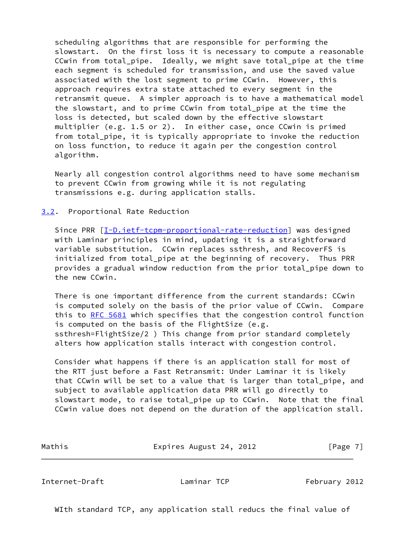scheduling algorithms that are responsible for performing the slowstart. On the first loss it is necessary to compute a reasonable CCwin from total pipe. Ideally, we might save total pipe at the time each segment is scheduled for transmission, and use the saved value associated with the lost segment to prime CCwin. However, this approach requires extra state attached to every segment in the retransmit queue. A simpler approach is to have a mathematical model the slowstart, and to prime CCwin from total\_pipe at the time the loss is detected, but scaled down by the effective slowstart multiplier (e.g. 1.5 or 2). In either case, once CCwin is primed from total\_pipe, it is typically appropriate to invoke the reduction on loss function, to reduce it again per the congestion control algorithm.

 Nearly all congestion control algorithms need to have some mechanism to prevent CCwin from growing while it is not regulating transmissions e.g. during application stalls.

<span id="page-7-0"></span>[3.2](#page-7-0). Proportional Rate Reduction

Since PRR  $[I-D.iett-tcpm-proportional-rate-reduction]$  was designed with Laminar principles in mind, updating it is a straightforward variable substitution. CCwin replaces ssthresh, and RecoverFS is initialized from total\_pipe at the beginning of recovery. Thus PRR provides a gradual window reduction from the prior total\_pipe down to the new CCwin.

 There is one important difference from the current standards: CCwin is computed solely on the basis of the prior value of CCwin. Compare this to [RFC 5681](https://datatracker.ietf.org/doc/pdf/rfc5681) which specifies that the congestion control function is computed on the basis of the FlightSize (e.g. ssthresh=FlightSize/2 ) This change from prior standard completely alters how application stalls interact with congestion control.

 Consider what happens if there is an application stall for most of the RTT just before a Fast Retransmit: Under Laminar it is likely that CCwin will be set to a value that is larger than total\_pipe, and subject to available application data PRR will go directly to slowstart mode, to raise total\_pipe up to CCwin. Note that the final CCwin value does not depend on the duration of the application stall.

Mathis **Expires August 24, 2012** [Page 7]

<span id="page-7-1"></span>Internet-Draft Laminar TCP February 2012

WIth standard TCP, any application stall reducs the final value of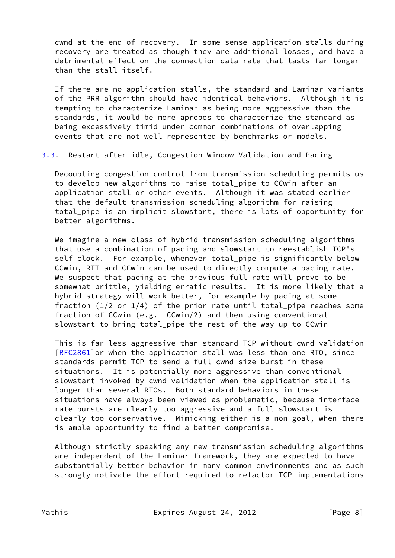cwnd at the end of recovery. In some sense application stalls during recovery are treated as though they are additional losses, and have a detrimental effect on the connection data rate that lasts far longer than the stall itself.

 If there are no application stalls, the standard and Laminar variants of the PRR algorithm should have identical behaviors. Although it is tempting to characterize Laminar as being more aggressive than the standards, it would be more apropos to characterize the standard as being excessively timid under common combinations of overlapping events that are not well represented by benchmarks or models.

<span id="page-8-0"></span>[3.3](#page-8-0). Restart after idle, Congestion Window Validation and Pacing

 Decoupling congestion control from transmission scheduling permits us to develop new algorithms to raise total\_pipe to CCwin after an application stall or other events. Although it was stated earlier that the default transmission scheduling algorithm for raising total\_pipe is an implicit slowstart, there is lots of opportunity for better algorithms.

We imagine a new class of hybrid transmission scheduling algorithms that use a combination of pacing and slowstart to reestablish TCP's self clock. For example, whenever total\_pipe is significantly below CCwin, RTT and CCwin can be used to directly compute a pacing rate. We suspect that pacing at the previous full rate will prove to be somewhat brittle, yielding erratic results. It is more likely that a hybrid strategy will work better, for example by pacing at some fraction (1/2 or 1/4) of the prior rate until total\_pipe reaches some fraction of CCwin (e.g. CCwin/2) and then using conventional slowstart to bring total\_pipe the rest of the way up to CCwin

 This is far less aggressive than standard TCP without cwnd validation [\[RFC2861](https://datatracker.ietf.org/doc/pdf/rfc2861)]or when the application stall was less than one RTO, since standards permit TCP to send a full cwnd size burst in these situations. It is potentially more aggressive than conventional slowstart invoked by cwnd validation when the application stall is longer than several RTOs. Both standard behaviors in these situations have always been viewed as problematic, because interface rate bursts are clearly too aggressive and a full slowstart is clearly too conservative. Mimicking either is a non-goal, when there is ample opportunity to find a better compromise.

 Although strictly speaking any new transmission scheduling algorithms are independent of the Laminar framework, they are expected to have substantially better behavior in many common environments and as such strongly motivate the effort required to refactor TCP implementations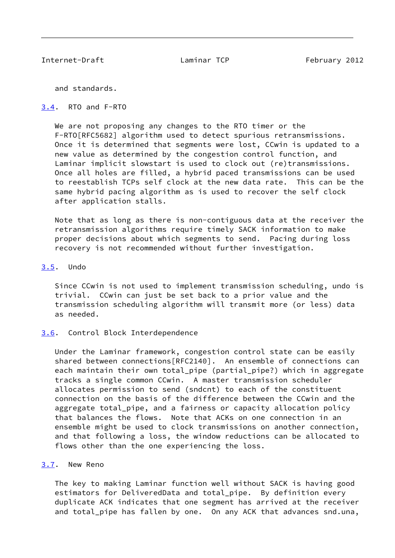<span id="page-9-1"></span>Internet-Draft Laminar TCP February 2012

and standards.

## <span id="page-9-0"></span>[3.4](#page-9-0). RTO and F-RTO

We are not proposing any changes to the RTO timer or the F-RTO[RFC5682] algorithm used to detect spurious retransmissions. Once it is determined that segments were lost, CCwin is updated to a new value as determined by the congestion control function, and Laminar implicit slowstart is used to clock out (re)transmissions. Once all holes are filled, a hybrid paced transmissions can be used to reestablish TCPs self clock at the new data rate. This can be the same hybrid pacing algorithm as is used to recover the self clock after application stalls.

 Note that as long as there is non-contiguous data at the receiver the retransmission algorithms require timely SACK information to make proper decisions about which segments to send. Pacing during loss recovery is not recommended without further investigation.

## <span id="page-9-2"></span>[3.5](#page-9-2). Undo

 Since CCwin is not used to implement transmission scheduling, undo is trivial. CCwin can just be set back to a prior value and the transmission scheduling algorithm will transmit more (or less) data as needed.

#### <span id="page-9-3"></span>[3.6](#page-9-3). Control Block Interdependence

 Under the Laminar framework, congestion control state can be easily shared between connections[RFC2140]. An ensemble of connections can each maintain their own total\_pipe (partial\_pipe?) which in aggregate tracks a single common CCwin. A master transmission scheduler allocates permission to send (sndcnt) to each of the constituent connection on the basis of the difference between the CCwin and the aggregate total\_pipe, and a fairness or capacity allocation policy that balances the flows. Note that ACKs on one connection in an ensemble might be used to clock transmissions on another connection, and that following a loss, the window reductions can be allocated to flows other than the one experiencing the loss.

## <span id="page-9-4"></span>[3.7](#page-9-4). New Reno

 The key to making Laminar function well without SACK is having good estimators for DeliveredData and total\_pipe. By definition every duplicate ACK indicates that one segment has arrived at the receiver and total\_pipe has fallen by one. On any ACK that advances snd.una,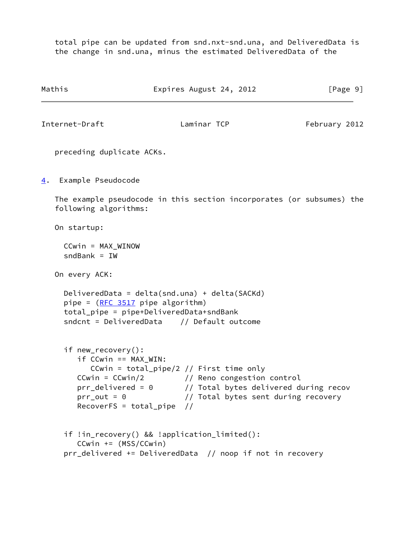total pipe can be updated from snd.nxt-snd.una, and DeliveredData is the change in snd.una, minus the estimated DeliveredData of the

```
Mathis Expires August 24, 2012 [Page 9]
Internet-Draft Laminar TCP February 2012
   preceding duplicate ACKs.
4. Example Pseudocode
   The example pseudocode in this section incorporates (or subsumes) the
   following algorithms:
   On startup:
     CCwin = MAX_WINOW
    sndBank = TW On every ACK:
     DeliveredData = delta(snd.una) + delta(SACKd)
    pipe = (RFC 3517 pipe algorithm)
     total_pipe = pipe+DeliveredData+sndBank
     sndcnt = DeliveredData // Default outcome
     if new_recovery():
        if CCwin == MAX_WIN:
           CCwin = total_pipe/2 // First time only
 CCwin = CCwin/2 // Reno congestion control
 prr_delivered = 0 // Total bytes delivered during recov
 prr_out = 0 // Total bytes sent during recovery
        RecoverFS = total_pipe //
     if !in_recovery() && !application_limited():
        CCwin += (MSS/CCwin)
     prr_delivered += DeliveredData // noop if not in recovery
```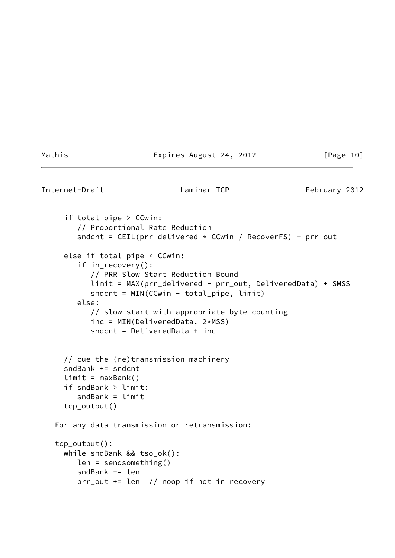Mathis **Expires August 24, 2012** [Page 10]

<span id="page-11-0"></span>Internet-Draft Laminar TCP February 2012

```
 if total_pipe > CCwin:
      // Proportional Rate Reduction
     sndcnt = CEIL(pr\_delivered * CCwin / Recovery RecoverFS) - pr\_out else if total_pipe < CCwin:
      if in_recovery():
         // PRR Slow Start Reduction Bound
         limit = MAX(prr_delivered - prr_out, DeliveredData) + SMSS
         sndcnt = MIN(CCwin - total_pipe, limit)
      else:
         // slow start with appropriate byte counting
         inc = MIN(DeliveredData, 2*MSS)
         sndcnt = DeliveredData + inc
   // cue the (re)transmission machinery
   sndBank += sndcnt
  limit = maxBank() if sndBank > limit:
     sndBank = limit tcp_output()
 For any data transmission or retransmission:
 tcp_output():
  while sndBank && tso_ok():
      len = sendsomething()
      sndBank -= len
      prr_out += len // noop if not in recovery
```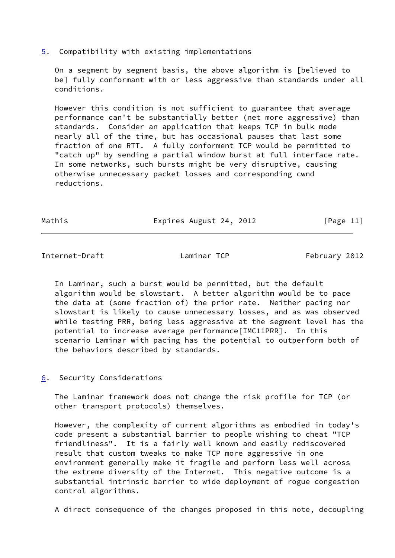## <span id="page-12-0"></span>[5](#page-12-0). Compatibility with existing implementations

 On a segment by segment basis, the above algorithm is [believed to be] fully conformant with or less aggressive than standards under all conditions.

 However this condition is not sufficient to guarantee that average performance can't be substantially better (net more aggressive) than standards. Consider an application that keeps TCP in bulk mode nearly all of the time, but has occasional pauses that last some fraction of one RTT. A fully conforment TCP would be permitted to "catch up" by sending a partial window burst at full interface rate. In some networks, such bursts might be very disruptive, causing otherwise unnecessary packet losses and corresponding cwnd reductions.

Mathis **Expires August 24, 2012** [Page 11]

<span id="page-12-2"></span>Internet-Draft Laminar TCP February 2012

 In Laminar, such a burst would be permitted, but the default algorithm would be slowstart. A better algorithm would be to pace the data at (some fraction of) the prior rate. Neither pacing nor slowstart is likely to cause unnecessary losses, and as was observed while testing PRR, being less aggressive at the segment level has the potential to increase average performance[IMC11PRR]. In this scenario Laminar with pacing has the potential to outperform both of the behaviors described by standards.

# <span id="page-12-1"></span>[6](#page-12-1). Security Considerations

 The Laminar framework does not change the risk profile for TCP (or other transport protocols) themselves.

 However, the complexity of current algorithms as embodied in today's code present a substantial barrier to people wishing to cheat "TCP friendliness". It is a fairly well known and easily rediscovered result that custom tweaks to make TCP more aggressive in one environment generally make it fragile and perform less well across the extreme diversity of the Internet. This negative outcome is a substantial intrinsic barrier to wide deployment of rogue congestion control algorithms.

A direct consequence of the changes proposed in this note, decoupling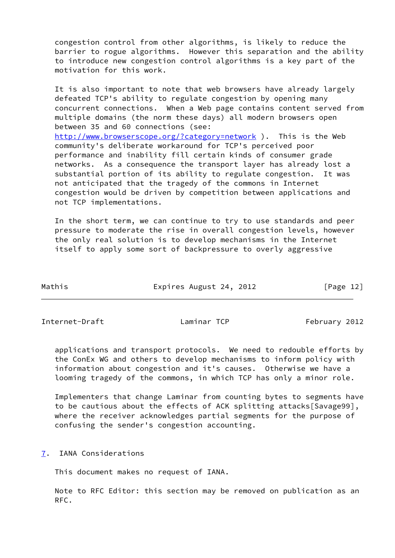congestion control from other algorithms, is likely to reduce the barrier to rogue algorithms. However this separation and the ability to introduce new congestion control algorithms is a key part of the motivation for this work.

 It is also important to note that web browsers have already largely defeated TCP's ability to regulate congestion by opening many concurrent connections. When a Web page contains content served from multiple domains (the norm these days) all modern browsers open between 35 and 60 connections (see: <http://www.browserscope.org/?category=network> ). This is the Web community's deliberate workaround for TCP's perceived poor performance and inability fill certain kinds of consumer grade networks. As a consequence the transport layer has already lost a substantial portion of its ability to regulate congestion. It was not anticipated that the tragedy of the commons in Internet congestion would be driven by competition between applications and not TCP implementations.

 In the short term, we can continue to try to use standards and peer pressure to moderate the rise in overall congestion levels, however the only real solution is to develop mechanisms in the Internet itself to apply some sort of backpressure to overly aggressive

Mathis **Expires August 24, 2012** [Page 12]

<span id="page-13-1"></span>Internet-Draft **Laminar TCP** February 2012

 applications and transport protocols. We need to redouble efforts by the ConEx WG and others to develop mechanisms to inform policy with information about congestion and it's causes. Otherwise we have a looming tragedy of the commons, in which TCP has only a minor role.

 Implementers that change Laminar from counting bytes to segments have to be cautious about the effects of ACK splitting attacks[Savage99], where the receiver acknowledges partial segments for the purpose of confusing the sender's congestion accounting.

<span id="page-13-0"></span>[7](#page-13-0). IANA Considerations

This document makes no request of IANA.

 Note to RFC Editor: this section may be removed on publication as an RFC.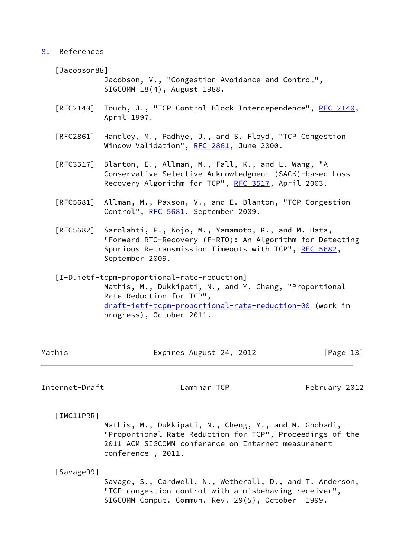# <span id="page-14-0"></span>[8](#page-14-0). References

<span id="page-14-2"></span>[Jacobson88]

 Jacobson, V., "Congestion Avoidance and Control", SIGCOMM 18(4), August 1988.

- [RFC2140] Touch, J., "TCP Control Block Interdependence", [RFC 2140,](https://datatracker.ietf.org/doc/pdf/rfc2140) April 1997.
- [RFC2861] Handley, M., Padhye, J., and S. Floyd, "TCP Congestion Window Validation", [RFC 2861,](https://datatracker.ietf.org/doc/pdf/rfc2861) June 2000.
- [RFC3517] Blanton, E., Allman, M., Fall, K., and L. Wang, "A Conservative Selective Acknowledgment (SACK)-based Loss Recovery Algorithm for TCP", [RFC 3517](https://datatracker.ietf.org/doc/pdf/rfc3517), April 2003.
- [RFC5681] Allman, M., Paxson, V., and E. Blanton, "TCP Congestion Control", [RFC 5681](https://datatracker.ietf.org/doc/pdf/rfc5681), September 2009.
- [RFC5682] Sarolahti, P., Kojo, M., Yamamoto, K., and M. Hata, "Forward RTO-Recovery (F-RTO): An Algorithm for Detecting Spurious Retransmission Timeouts with TCP", [RFC 5682,](https://datatracker.ietf.org/doc/pdf/rfc5682) September 2009.
- <span id="page-14-3"></span> [I-D.ietf-tcpm-proportional-rate-reduction] Mathis, M., Dukkipati, N., and Y. Cheng, "Proportional Rate Reduction for TCP", [draft-ietf-tcpm-proportional-rate-reduction-00](https://datatracker.ietf.org/doc/pdf/draft-ietf-tcpm-proportional-rate-reduction-00) (work in progress), October 2011.

| Mathis | Expires August 24, 2012 | [Page 13] |
|--------|-------------------------|-----------|

<span id="page-14-1"></span>Internet-Draft **Laminar TCP** February 2012

[IMC11PRR]

 Mathis, M., Dukkipati, N., Cheng, Y., and M. Ghobadi, "Proportional Rate Reduction for TCP", Proceedings of the 2011 ACM SIGCOMM conference on Internet measurement conference , 2011.

[Savage99]

 Savage, S., Cardwell, N., Wetherall, D., and T. Anderson, "TCP congestion control with a misbehaving receiver", SIGCOMM Comput. Commun. Rev. 29(5), October 1999.